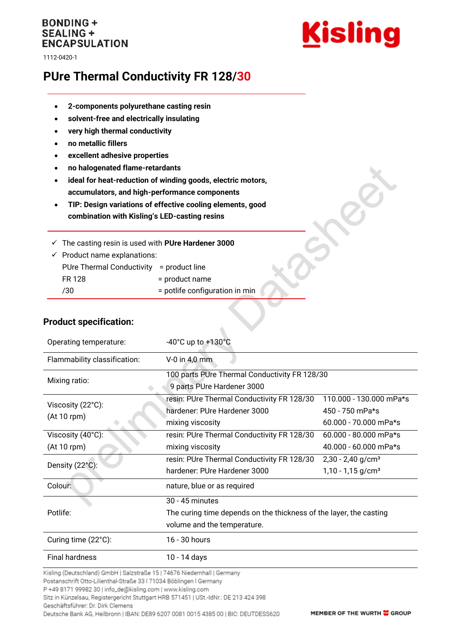## **BONDING + SEALING + ENCAPSULATION**

1112-0420-1



# **PUre Thermal Conductivity FR 128/30**

- **2-components polyurethane casting resin**
- **solvent-free and electrically insulating**
- **very high thermal conductivity**
- **no metallic fillers**
- **excellent adhesive properties**
- **no halogenated flame-retardants**
- **ideal for heat-reduction of winding goods, electric motors, accumulators, and high-performance components**
- **TIP: Design variations of effective cooling elements, good combination with Kisling's LED-casting resins**

✓ The casting resin is used with **PUre Hardener 3000**

| $\checkmark$ Product name explanations:  |                                |  |
|------------------------------------------|--------------------------------|--|
| PUre Thermal Conductivity = product line |                                |  |
| FR 128                                   | = product name                 |  |
| 730                                      | = potlife configuration in min |  |
|                                          |                                |  |

### **Product specification:**

| Operating temperature:       | $-40^{\circ}$ C up to $+130^{\circ}$ C                             |                                 |  |
|------------------------------|--------------------------------------------------------------------|---------------------------------|--|
| Flammability classification: | $V-0$ in 4,0 mm                                                    |                                 |  |
| Mixing ratio:                | 100 parts PUre Thermal Conductivity FR 128/30                      |                                 |  |
|                              | 9 parts PUre Hardener 3000                                         |                                 |  |
| Viscosity (22°C):            | resin: PUre Thermal Conductivity FR 128/30                         | 110.000 - 130.000 mPa*s         |  |
| (At 10 rpm)                  | hardener: PUre Hardener 3000                                       | 450 - 750 mPa*s                 |  |
|                              | mixing viscosity                                                   | $60.000 - 70.000$ mPa*s         |  |
| Viscosity (40°C):            | resin: PUre Thermal Conductivity FR 128/30                         | $60.000 - 80.000$ mPa*s         |  |
| (At 10 rpm)                  | mixing viscosity                                                   | 40.000 - 60.000 mPa*s           |  |
| Density (22°C):              | resin: PUre Thermal Conductivity FR 128/30                         | $2,30 - 2,40$ g/cm <sup>3</sup> |  |
|                              | hardener: PUre Hardener 3000                                       | $1,10 - 1,15$ g/cm <sup>3</sup> |  |
| Colour:                      | nature, blue or as required                                        |                                 |  |
|                              | 30 - 45 minutes                                                    |                                 |  |
| Potlife:                     | The curing time depends on the thickness of the layer, the casting |                                 |  |
|                              | volume and the temperature.                                        |                                 |  |
| Curing time (22°C):          | 16 - 30 hours                                                      |                                 |  |
| <b>Final hardness</b>        | 10 - 14 days                                                       |                                 |  |

 $\triangle$ 

Kisling (Deutschland) GmbH | Salzstraße 15 | 74676 Niedernhall | Germany

Postanschrift Otto-Lilienthal-Straße 33 | 71034 Böblingen | Germany

P +49 8171 99982 30 | info\_de@kisling.com | www.kisling.com

Sitz in Künzelsau, Registergericht Stuttgart HRB 571451 | USt.-IdNr.: DE 213 424 398

Geschäftsführer: Dr. Dirk Clemens Deutsche Bank AG, Heilbronn | IBAN: DE89 6207 0081 0015 4385 00 | BIC: DEUTDESS620